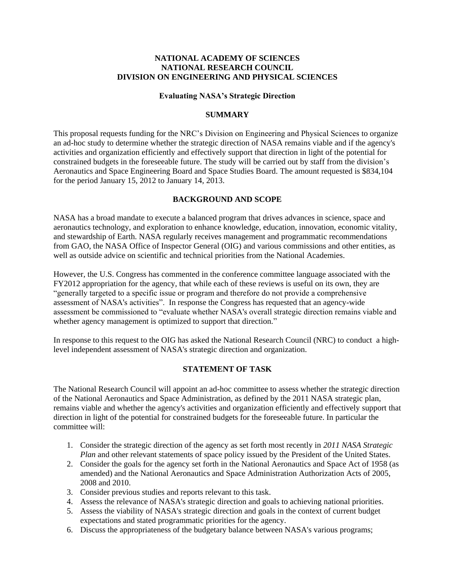### **NATIONAL ACADEMY OF SCIENCES NATIONAL RESEARCH COUNCIL DIVISION ON ENGINEERING AND PHYSICAL SCIENCES**

#### **Evaluating NASA's Strategic Direction**

### **SUMMARY**

This proposal requests funding for the NRC's Division on Engineering and Physical Sciences to organize an ad-hoc study to determine whether the strategic direction of NASA remains viable and if the agency's activities and organization efficiently and effectively support that direction in light of the potential for constrained budgets in the foreseeable future. The study will be carried out by staff from the division's Aeronautics and Space Engineering Board and Space Studies Board. The amount requested is \$834,104 for the period January 15, 2012 to January 14, 2013.

### **BACKGROUND AND SCOPE**

NASA has a broad mandate to execute a balanced program that drives advances in science, space and aeronautics technology, and exploration to enhance knowledge, education, innovation, economic vitality, and stewardship of Earth. NASA regularly receives management and programmatic recommendations from GAO, the NASA Office of Inspector General (OIG) and various commissions and other entities, as well as outside advice on scientific and technical priorities from the National Academies.

However, the U.S. Congress has commented in the conference committee language associated with the FY2012 appropriation for the agency, that while each of these reviews is useful on its own, they are "generally targeted to a specific issue or program and therefore do not provide a comprehensive assessment of NASA's activities". In response the Congress has requested that an agency-wide assessment be commissioned to "evaluate whether NASA's overall strategic direction remains viable and whether agency management is optimized to support that direction."

In response to this request to the OIG has asked the National Research Council (NRC) to conduct a highlevel independent assessment of NASA's strategic direction and organization.

### **STATEMENT OF TASK**

The National Research Council will appoint an ad-hoc committee to assess whether the strategic direction of the National Aeronautics and Space Administration, as defined by the 2011 NASA strategic plan, remains viable and whether the agency's activities and organization efficiently and effectively support that direction in light of the potential for constrained budgets for the foreseeable future. In particular the committee will:

- 1. Consider the strategic direction of the agency as set forth most recently in *2011 NASA Strategic Plan* and other relevant statements of space policy issued by the President of the United States.
- 2. Consider the goals for the agency set forth in the National Aeronautics and Space Act of 1958 (as amended) and the National Aeronautics and Space Administration Authorization Acts of 2005, 2008 and 2010.
- 3. Consider previous studies and reports relevant to this task.
- 4. Assess the relevance of NASA's strategic direction and goals to achieving national priorities.
- 5. Assess the viability of NASA's strategic direction and goals in the context of current budget expectations and stated programmatic priorities for the agency.
- 6. Discuss the appropriateness of the budgetary balance between NASA's various programs;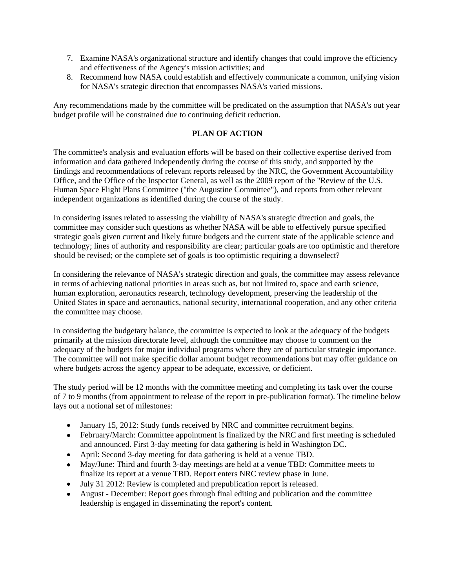- 7. Examine NASA's organizational structure and identify changes that could improve the efficiency and effectiveness of the Agency's mission activities; and
- 8. Recommend how NASA could establish and effectively communicate a common, unifying vision for NASA's strategic direction that encompasses NASA's varied missions.

Any recommendations made by the committee will be predicated on the assumption that NASA's out year budget profile will be constrained due to continuing deficit reduction.

## **PLAN OF ACTION**

The committee's analysis and evaluation efforts will be based on their collective expertise derived from information and data gathered independently during the course of this study, and supported by the findings and recommendations of relevant reports released by the NRC, the Government Accountability Office, and the Office of the Inspector General, as well as the 2009 report of the "Review of the U.S. Human Space Flight Plans Committee ("the Augustine Committee"), and reports from other relevant independent organizations as identified during the course of the study.

In considering issues related to assessing the viability of NASA's strategic direction and goals, the committee may consider such questions as whether NASA will be able to effectively pursue specified strategic goals given current and likely future budgets and the current state of the applicable science and technology; lines of authority and responsibility are clear; particular goals are too optimistic and therefore should be revised; or the complete set of goals is too optimistic requiring a downselect?

In considering the relevance of NASA's strategic direction and goals, the committee may assess relevance in terms of achieving national priorities in areas such as, but not limited to, space and earth science, human exploration, aeronautics research, technology development, preserving the leadership of the United States in space and aeronautics, national security, international cooperation, and any other criteria the committee may choose.

In considering the budgetary balance, the committee is expected to look at the adequacy of the budgets primarily at the mission directorate level, although the committee may choose to comment on the adequacy of the budgets for major individual programs where they are of particular strategic importance. The committee will not make specific dollar amount budget recommendations but may offer guidance on where budgets across the agency appear to be adequate, excessive, or deficient.

The study period will be 12 months with the committee meeting and completing its task over the course of 7 to 9 months (from appointment to release of the report in pre-publication format). The timeline below lays out a notional set of milestones:

- January 15, 2012: Study funds received by NRC and committee recruitment begins.
- February/March: Committee appointment is finalized by the NRC and first meeting is scheduled and announced. First 3-day meeting for data gathering is held in Washington DC.
- April: Second 3-day meeting for data gathering is held at a venue TBD.
- May/June: Third and fourth 3-day meetings are held at a venue TBD: Committee meets to finalize its report at a venue TBD. Report enters NRC review phase in June.
- July 31 2012: Review is completed and prepublication report is released.
- August December: Report goes through final editing and publication and the committee leadership is engaged in disseminating the report's content.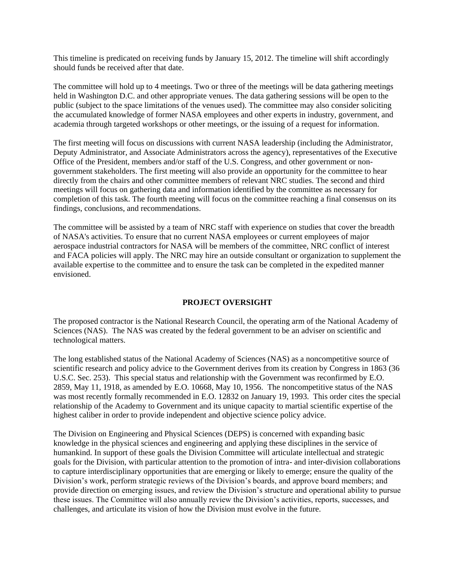This timeline is predicated on receiving funds by January 15, 2012. The timeline will shift accordingly should funds be received after that date.

The committee will hold up to 4 meetings. Two or three of the meetings will be data gathering meetings held in Washington D.C. and other appropriate venues. The data gathering sessions will be open to the public (subject to the space limitations of the venues used). The committee may also consider soliciting the accumulated knowledge of former NASA employees and other experts in industry, government, and academia through targeted workshops or other meetings, or the issuing of a request for information.

The first meeting will focus on discussions with current NASA leadership (including the Administrator, Deputy Administrator, and Associate Administrators across the agency), representatives of the Executive Office of the President, members and/or staff of the U.S. Congress, and other government or nongovernment stakeholders. The first meeting will also provide an opportunity for the committee to hear directly from the chairs and other committee members of relevant NRC studies. The second and third meetings will focus on gathering data and information identified by the committee as necessary for completion of this task. The fourth meeting will focus on the committee reaching a final consensus on its findings, conclusions, and recommendations.

The committee will be assisted by a team of NRC staff with experience on studies that cover the breadth of NASA's activities. To ensure that no current NASA employees or current employees of major aerospace industrial contractors for NASA will be members of the committee, NRC conflict of interest and FACA policies will apply. The NRC may hire an outside consultant or organization to supplement the available expertise to the committee and to ensure the task can be completed in the expedited manner envisioned.

### **PROJECT OVERSIGHT**

The proposed contractor is the National Research Council, the operating arm of the National Academy of Sciences (NAS). The NAS was created by the federal government to be an adviser on scientific and technological matters.

The long established status of the National Academy of Sciences (NAS) as a noncompetitive source of scientific research and policy advice to the Government derives from its creation by Congress in 1863 (36 U.S.C. Sec. 253). This special status and relationship with the Government was reconfirmed by E.O. 2859, May 11, 1918, as amended by E.O. 10668, May 10, 1956. The noncompetitive status of the NAS was most recently formally recommended in E.O. 12832 on January 19, 1993. This order cites the special relationship of the Academy to Government and its unique capacity to martial scientific expertise of the highest caliber in order to provide independent and objective science policy advice.

The Division on Engineering and Physical Sciences (DEPS) is concerned with expanding basic knowledge in the physical sciences and engineering and applying these disciplines in the service of humankind. In support of these goals the Division Committee will articulate intellectual and strategic goals for the Division, with particular attention to the promotion of intra- and inter-division collaborations to capture interdisciplinary opportunities that are emerging or likely to emerge; ensure the quality of the Division's work, perform strategic reviews of the Division's boards, and approve board members; and provide direction on emerging issues, and review the Division's structure and operational ability to pursue these issues. The Committee will also annually review the Division's activities, reports, successes, and challenges, and articulate its vision of how the Division must evolve in the future.